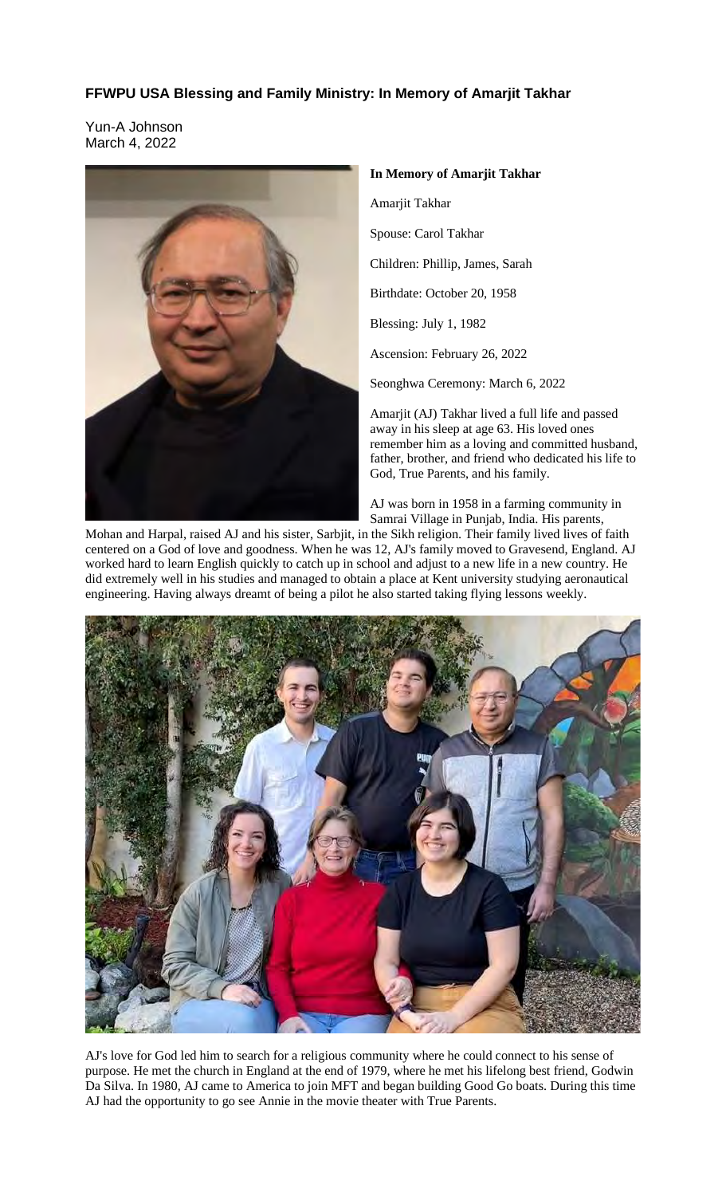## **FFWPU USA Blessing and Family Ministry: In Memory of Amarjit Takhar**

Yun-A Johnson March 4, 2022



**In Memory of Amarjit Takhar**

Amarjit Takhar

Spouse: Carol Takhar

Children: Phillip, James, Sarah

Birthdate: October 20, 1958

Blessing: July 1, 1982

Ascension: February 26, 2022

Seonghwa Ceremony: March 6, 2022

Amarjit (AJ) Takhar lived a full life and passed away in his sleep at age 63. His loved ones remember him as a loving and committed husband, father, brother, and friend who dedicated his life to God, True Parents, and his family.

AJ was born in 1958 in a farming community in Samrai Village in Punjab, India. His parents,

Mohan and Harpal, raised AJ and his sister, Sarbjit, in the Sikh religion. Their family lived lives of faith centered on a God of love and goodness. When he was 12, AJ's family moved to Gravesend, England. AJ worked hard to learn English quickly to catch up in school and adjust to a new life in a new country. He did extremely well in his studies and managed to obtain a place at Kent university studying aeronautical engineering. Having always dreamt of being a pilot he also started taking flying lessons weekly.



AJ's love for God led him to search for a religious community where he could connect to his sense of purpose. He met the church in England at the end of 1979, where he met his lifelong best friend, Godwin Da Silva. In 1980, AJ came to America to join MFT and began building Good Go boats. During this time AJ had the opportunity to go see Annie in the movie theater with True Parents.